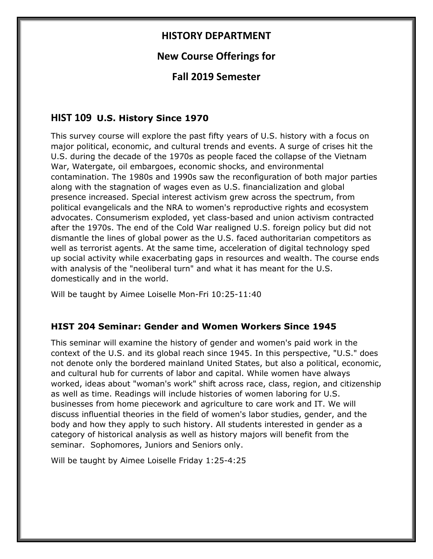## **HISTORY DEPARTMENT**

# **New Course Offerings for**

# **Fall 2019 Semester**

### **HIST 109 U.S. History Since 1970**

This survey course will explore the past fifty years of U.S. history with a focus on major political, economic, and cultural trends and events. A surge of crises hit the U.S. during the decade of the 1970s as people faced the collapse of the Vietnam War, Watergate, oil embargoes, economic shocks, and environmental contamination. The 1980s and 1990s saw the reconfiguration of both major parties along with the stagnation of wages even as U.S. financialization and global presence increased. Special interest activism grew across the spectrum, from political evangelicals and the NRA to women's reproductive rights and ecosystem advocates. Consumerism exploded, yet class-based and union activism contracted after the 1970s. The end of the Cold War realigned U.S. foreign policy but did not dismantle the lines of global power as the U.S. faced authoritarian competitors as well as terrorist agents. At the same time, acceleration of digital technology sped up social activity while exacerbating gaps in resources and wealth. The course ends with analysis of the "neoliberal turn" and what it has meant for the U.S. domestically and in the world.

Will be taught by Aimee Loiselle Mon-Fri 10:25-11:40

#### **HIST 204 Seminar: Gender and Women Workers Since 1945**

This seminar will examine the history of gender and women's paid work in the context of the U.S. and its global reach since 1945. In this perspective, "U.S." does not denote only the bordered mainland United States, but also a political, economic, and cultural hub for currents of labor and capital. While women have always worked, ideas about "woman's work" shift across race, class, region, and citizenship as well as time. Readings will include histories of women laboring for U.S. businesses from home piecework and agriculture to care work and IT. We will discuss influential theories in the field of women's labor studies, gender, and the body and how they apply to such history. All students interested in gender as a category of historical analysis as well as history majors will benefit from the seminar. Sophomores, Juniors and Seniors only.

Will be taught by Aimee Loiselle Friday 1:25-4:25